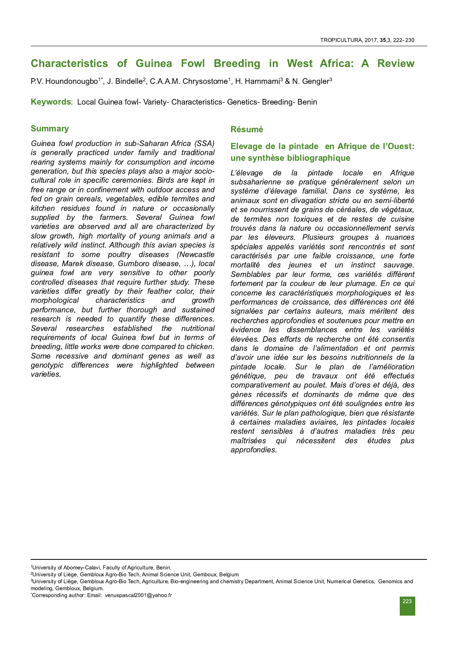# Characteristics of Guinea Fowl Breeding in West Africa: A Review

P.V. Houndonougbo<sup>1\*</sup>, J. Bindelle<sup>2</sup>, C.A.A.M. Chrysostome<sup>1</sup>, H. Hammami<sup>3</sup> & N. Gengler<sup>3</sup>

Keywords: Local Guinea fowl- Variety- Characteristics- Genetics- Breeding- Benin

## **Summary**

Guinea fowl production in sub-Saharan Africa (SSA) is generally practiced under family and traditional rearing systems mainly for consumption and income generation, but this species plays also a major sociocultural role in specific ceremonies. Birds are kept in free range or in confinement with outdoor access and fed on grain cereals, vegetables, edible termites and kitchen residues found in nature or occasionally supplied by the farmers. Several Guinea fowl varieties are observed and all are characterized by slow growth, high mortality of young animals and a relatively wild instinct. Although this avian species is resistant to some poultry diseases (Newcastle disease, Marek disease, Gumboro disease, ...), local guinea fowl are very sensitive to other poorly controlled diseases that require further study. These varieties differ greatly by their feather color, their morphological characteristics and growth performance, but further thorough and sustained research is needed to quantify these differences. Several researches established the nutritional requirements of local Guinea fowl but in terms of breeding, little works were done compared to chicken. Some recessive and dominant genes as well as genotypic differences were highlighted between varieties.

## **Résumé**

# Elevage de la pintade en Afrique de l'Ouest: une synthèse bibliographique

L'élevage de la pintade locale en Afrique subsaharienne se pratique généralement selon un système d'élevage familial. Dans ce système, les animaux sont en divagation stricte ou en semi-liberté et se nourrissent de grains de céréales, de végétaux, de termites non toxiques et de restes de cuisine trouvés dans la nature ou occasionnellement servis par les éleveurs. Plusieurs groupes à nuances spéciales appelés variétés sont rencontrés et sont caractérisés par une faible croissance, une forte mortalité des jeunes et un instinct sauvage. Semblables par leur forme, ces variétés diffèrent fortement par la couleur de leur plumage. En ce qui concerne les caractéristiques morphologiques et les performances de croissance, des différences ont été signalées par certains auteurs, mais méritent des recherches approfondies et soutenues pour mettre en évidence les dissemblances entre les variétés élevées. Des efforts de recherche ont été consentis dans le domaine de l'alimentation et ont permis d'avoir une idée sur les besoins nutritionnels de la pintade locale. Sur le plan de l'amélioration génétique, peu de travaux ont été effectués comparativement au poulet. Mais d'ores et déjà, des gènes récessifs et dominants de même que des différences génotypiques ont été soulignées entre les variétés. Sur le plan pathologique, bien que résistante à certaines maladies aviaires, les pintades locales restent sensibles à d'autres maladies très peu maîtrisées qui nécessitent des études plus approfondies.

<sup>1</sup>University of Abomey-Calavi, Faculty of Agriculture, Benin.

<sup>&</sup>lt;sup>2</sup>University of Liège, Gembloux Agro-Bio Tech, Animal Science Unit, Gemboux, Belgium

<sup>&</sup>lt;sup>3</sup>University of Liège, Gembloux Agro-Bio Tech, Agriculture, Bio-engineering and chemistry Department, Animal Science Unit, Numerical Genetics, Genomics and modeling, Gembloux, Belgium,

<sup>\*</sup>Corresponding author: Email: venuspascal2001@yahoo.fr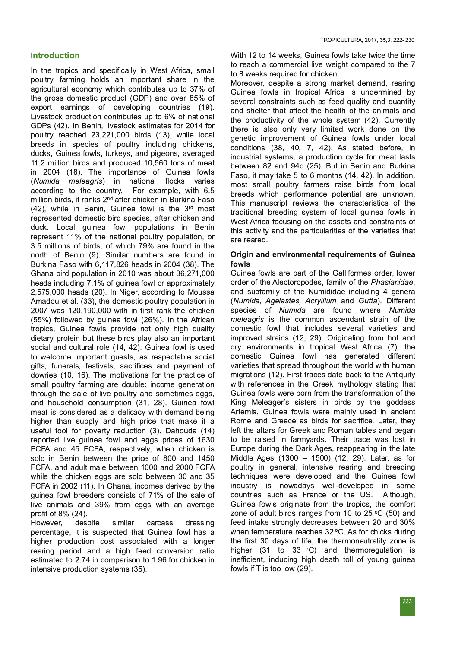## **Introduction**

In the tropics and specifically in West Africa, small poultry farming holds an important share in the agricultural economy which contributes up to 37% of the gross domestic product (GDP) and over 85% of export earnings of developing countries (19). Livestock production contributes up to 6% of national GDPs (42). In Benin, livestock estimates for 2014 for poultry reached 23,221,000 birds (13), while local breeds in species of poultry including chickens, ducks, Guinea fowls, turkeys, and pigeons, averaged 11.2 million birds and produced 10,560 tons of meat in 2004 (18). The importance of Guinea fowls (Numida meleagris) in national flocks varies according to the country. For example, with 6.5 million birds, it ranks 2ʰª after chicken in Burkina Faso  $(42)$ , while in Benin, Guinea fowl is the  $3<sup>rd</sup>$  most represented domestic bird species, after chicken and duck. Local guinea fowl populations in Benin represent 11% of the national poultry population, or 3.5 millions of birds, of which 79% are found in the north of Benin (9). Similar numbers are found in Burkina Faso with 6,117,826 heads in 2004 (38). The Ghana bird population in 2010 was about 36,271,000 heads including 7.1% of quinea fowl or approximately 2,575,000 heads (20). In Niger, according to Moussa Amadou et al. (33), the domestic poultry population in 2007 was 120,190,000 with in first rank the chicken  $(55%)$  followed by quinea fowl  $(26%)$ . In the African tropics, Guinea fowls provide not only high quality dietary protein but these birds play also an important social and cultural role (14, 42). Guinea fowl is used to welcome important guests, as respectable social gifts, funerals, festivals, sacrifices and payment of dowries (10, 16). The motivations for the practice of small poultry farming are double: income generation through the sale of live poultry and sometimes eggs, and household consumption (31, 28). Guinea fowl meat is considered as a delicacy with demand being higher than supply and high price that make it a useful tool for poverty reduction (3). Dahouda (14) reported live guinea fowl and eggs prices of 1630 FCFA and 45 FCFA, respectively, when chicken is sold in Benin between the price of 800 and 1450 FCFA, and adult male between 1000 and 2000 FCFA while the chicken eggs are sold between 30 and 35 FCFA in 2002 (11). In Ghana, incomes derived by the guinea fowl breeders consists of 71% of the sale of live animals and 39% from eggs with an average profit of  $8\%$  (24).

However, despite similar carcass dressing percentage, it is suspected that Guinea fowl has a higher production cost associated with a longer rearing period and a high feed conversion ratio estimated to 2.74 in comparison to 1.96 for chicken in intensive production systems (35).

With 12 to 14 weeks, Guinea fowls take twice the time to reach a commercial live weight compared to the 7 to 8 weeks required for chicken.

Moreover, despite a strong market demand, rearing Guinea fowls in tropical Africa is undermined by several constraints such as feed quality and quantity and shelter that affect the health of the animals and the productivity of the whole system (42). Currently there is also only very limited work done on the genetic improvement of Guinea fowls under local conditions (38, 40, 7, 42). As stated before, ir industrial systems, a production cycle for meat lasts between 82 and 94d (25). But in Benin and Burkina Faso, it may take 5 to 6 months (14, 42). In addition, most small poultry farmers raise birds from local breeds which performance potential are unknown. This manuscript reviews the characteristics of the traditional breeding system of local guinea fowls in West Africa focusing on the assets and constraints of this activity and the particularities of the varieties that are reared.

#### Origin and environmental requirements of Guinea fowls

Guinea fowls are part of the Galliformes order, lower order of the Alectoropodes, family of the Phasianidae, and subfamily of the Numididae including 4 genera (Numida, Agelastes, Acryllium and Gutta). Different species of Numida are found where Numida meleagris is the common ascendant strain of the domestic fowl that includes several varieties and improved strains (12, 29). Originating from hot and dry environments in tropical West Africa (7), the domestic Guinea fowl has generated different varieties that spread throughout the world with human migrations (12). First traces date back to the Antiquity with references in the Greek mythology stating that Guinea fowls were born from the transformation of the King Meleager's sisters in birds by the goddess Artemis. Guinea fowls were mainly used in ancient Rome and Greece as birds for sacrifice. Later, they left the altars for Greek and Roman tables and began to be raised in farmyards. Their trace was lost in Europe during the Dark Ages, reappearing in the late Middle Ages (1300 – 1500) (12, 29). Later, as for poultry in general, intensive rearing and breeding techniques were developed and the Guinea fowl industry is nowadays well-developed in some countries such as France or the US. Although, Guinea fowls originate from the tropics, the comfort zone of adult birds ranges from 10 to 25 °C (50) and feed intake strongly decreases between 20 and 30%  $\,$ when temperature reaches 32 °C. As for chicks during the first 30 days of life, the thermoneutrality zone is higher (31 to 33  $\degree$ C) and thermoregulation is inefficient, inducing high death toll of young guinea fowls if  $T$  is too low  $(29)$ .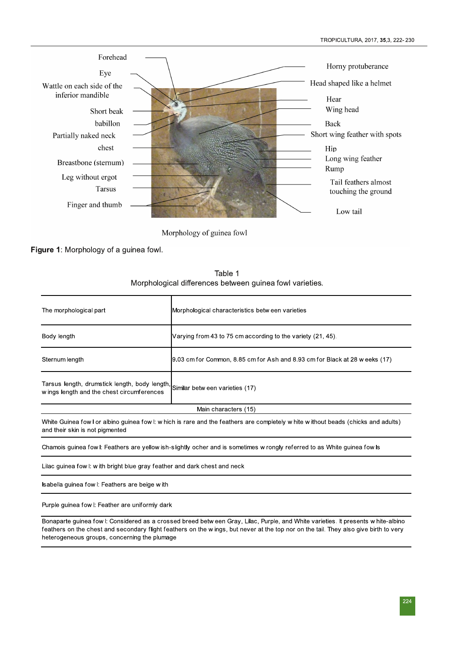

Morphology of guinea fowl

Figure 1: Morphology of a guinea fowl.

Table 1 Morphological differences between guinea fowl varieties.

| The morphological part                                                                                                                                                 | Morphological characteristics betw een varieties                            |  |
|------------------------------------------------------------------------------------------------------------------------------------------------------------------------|-----------------------------------------------------------------------------|--|
| Body length                                                                                                                                                            | Varying from 43 to 75 cm according to the variety (21, 45).                 |  |
| Sternum length                                                                                                                                                         | 9.03 cm for Common, 8.85 cm for Ash and 8.93 cm for Black at 28 w eeks (17) |  |
| Tarsus length, drumstick length, body length,<br>w ings length and the chest circumferences                                                                            | Similar betw een varieties (17)                                             |  |
| Main characters (15)                                                                                                                                                   |                                                                             |  |
| White Guinea fow I or albino guinea fow I: w hich is rare and the feathers are completely w hite w ithout beads (chicks and adults)<br>and their skin is not pigmented |                                                                             |  |
| Chamois guinea fow I: Feathers are yellow ish-slightly ocher and is sometimes w rongly referred to as White guinea fow Is                                              |                                                                             |  |
| Lilac guinea fow I: with bright blue gray feather and dark chest and neck                                                                                              |                                                                             |  |
| sabella guinea fow I: Feathers are beige with                                                                                                                          |                                                                             |  |

Purple guinea fow l: Feather are uniformly dark

Bonaparte guinea fow I: Considered as a crossed breed betw een Gray, Lilac, Purple, and White varieties. It presents w hite-albino feathers on the chest and secondary flight feathers on the wings, but never at the top nor on the tail. They also give birth to very heterogeneous groups, concerning the plumage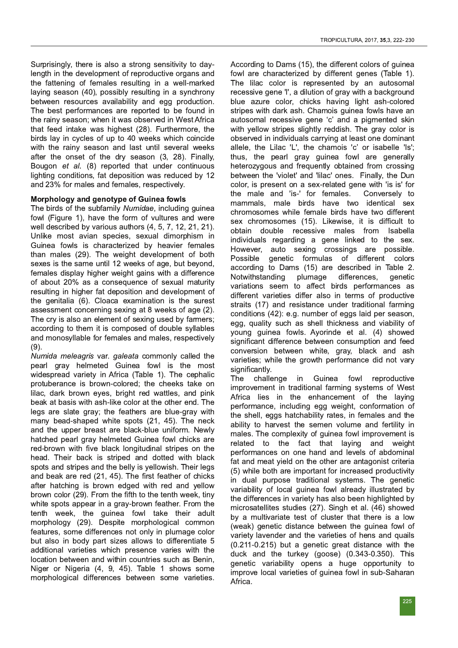Surprisingly, there is also a strong sensitivity to daylength in the development of reproductive organs and the fattening of females resulting in a well-marked laying season (40), possibly resulting in a synchrony between resources availability and egg production. The best performances are reported to be found in the rainy season; when it was observed in West Africa that feed intake was highest (28). Furthermore, the birds lay in cycles of up to 40 weeks which coincide with the rainy season and last until several weeks after the onset of the dry season  $(3, 28)$ . Finally, Bougon et al. (8) reported that under continuous lighting conditions, fat deposition was reduced by 12 and 23% for males and females, respectively.

## Morphology and genotype of Guinea fowls

The birds of the subfamily Numidae, including guinea fowl (Figure 1), have the form of vultures and were well described by various authors  $(4, 5, 7, 12, 21, 21)$ . Unlike most avian species, sexual dimorphism in Guinea fowls is characterized by heavier females than males (29). The weight development of both sexes is the same until 12 weeks of age, but beyond, females display higher weight gains with a difference of about 20% as a consequence of sexual maturity resulting in higher fat deposition and development of the genitalia (6). Cloaca examination is the surest assessment concerning sexing at 8 weeks of age (2). The cry is also an element of sexing used by farmers; according to them it is composed of double syllables and monosyllable for females and males, respectively  $(9).$ 

Numida meleagris var. galeata commonly called the pearl gray helmeted Guinea fowl is the most widespread variety in Africa (Table 1). The cephalic protuberance is brown-colored; the cheeks take on lilac, dark brown eyes, bright red wattles, and pink beak at basis with ash-like color at the other end. The legs are slate gray; the feathers are blue-gray with many bead-shaped white spots (21, 45). The neck and the upper breast are black-blue uniform. Newly hatched pearl gray helmeted Guinea fowl chicks are red-brown with five black longitudinal stripes on the head. Their back is striped and dotted with black spots and stripes and the belly is yellowish. Their legs and beak are red (21, 45). The first feather of chicks after hatching is brown edged with red and yellow brown color (29). From the fifth to the tenth week, tiny white spots appear in a gray-brown feather. From the tenth week, the guinea fowl take their adult morphology (29). Despite morphological common features, some differences not only in plumage color but also in body part sizes allows to differentiate 5 additional varieties which presence varies with the location between and within countries such as Benin, Niger or Nigeria (4, 9, 45). Table 1 shows some morphological differences between some varieties.

According to Dams (15), the different colors of quinea fowl are characterized by different genes (Table 1). The lilac color is represented by an autosomal recessive gene 'l', a dilution of gray with a backgrounc blue azure color, chicks having light ash-colored stripes with dark ash. Chamois guinea fowls have an autosomal recessive gene 'c' and a pigmented skin with yellow stripes slightly reddish. The gray color is observed in individuals carrying at least one dominant allele, the Lilac 'L', the chamois 'c' or isabelle 'Is' thus, the pearl gray guinea fowl are generally heterozygous and frequently obtained from crossing between the 'violet' and 'lilac' ones. Finally, the Dur color, is present on a sex-related gene with 'is is' for the male and 'is-' for females. Conversely to mammals, male birds have two identical sex chromosomes while female birds have two different sex chromosomes (15). Likewise, it is difficult to obtain double recessive males from Isabella individuals regarding a gene linked to the sex. However, auto sexing crossings are possible. Possible genetic formulas of different colors according to Dams (15) are described in Table 2.<br>Notwithstanding plumage differences, genetic Notwithstanding plumage differences, genetic variations seem to affect birds performances as different varieties differ also in terms of productive straits (17) and resistance under traditional farming conditions (42): e.g. number of eggs laid per season, egg, quality such as shell thickness and viability of young guinea fowls. Ayorinde et al. (4) showed significant difference between consumption and feed conversion between white, gray, black and ash varieties; while the growth performance did not vary significantly.

The challenge in Guinea fowl reproductive improvement in traditional farming systems of West Africa lies in the enhancement of the laying performance, including egg weight, conformation of the shell, eggs hatchability rates, in females and the ability to harvest the semen volume and fertility in males. The complexity of guinea fowl improvement is related to the fact that laving and weight performances on one hand and levels of abdominal fat and meat yield on the other are antagonist criteria (5) while both are important for increased productivity in dual purpose traditional systems. The genetic variability of local guinea fowl already illustrated by the differences in variety has also been highlighted by microsatellites studies (27). Singh et al. (46) showed by a multivariate test of cluster that there is a low (weak) genetic distance between the quinea fowl of variety lavender and the varieties of hens and quails  $(0.211 - 0.215)$  but a genetic great distance with the duck and the turkey (goose) (0.343-0.350). This genetic variability opens a huge opportunity to improve local varieties of quinea fowl in sub-Saharan Africa.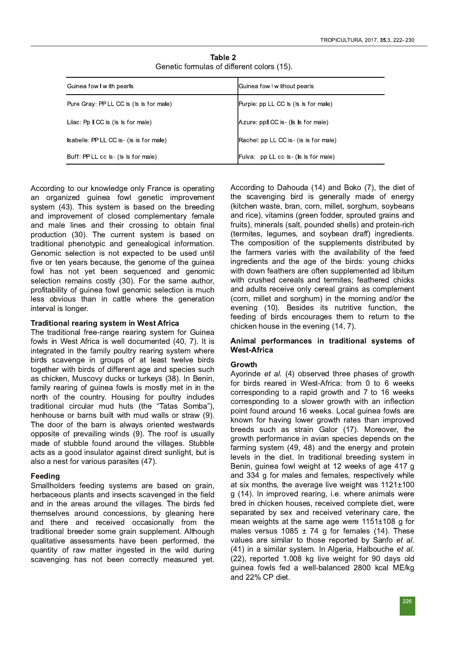| Guinea fow I w ith pearls                         | Guinea fow I w ithout pearls                       |
|---------------------------------------------------|----------------------------------------------------|
| Pure Gray: PP LL CC is (is is for male)           | Purple: pp LL CC is (is is for male)               |
| Lilac: $Pp \parallel CC$ is ( $s$ is for male)    | Azure: ppll CC is (Is Is for male)                 |
| <b>sabelle: PP LL CC is (is is for male)</b>      | Rachel: pp LL CC is (is is for male)               |
| Buff: PP LL cc <b>ls</b> ( <b>ls ls</b> for male) | Fulva: pp LL cc <b>ls</b> ( <b>ls ls</b> for male) |

Table 2 Genetic formulas of different colors (15).

According to our knowledge only France is operating an organized guinea fowl genetic improvement system (43). This system is based on the breeding and improvement of closed complementary female and male lines and their crossing to obtain final production (30). The current system is based on traditional phenotypic and genealogical information. Genomic selection is not expected to be used until five or ten years because, the genome of the guinea fowl has not yet been sequenced and genomic selection remains costly (30). For the same author, profitability of guinea fowl genomic selection is much less obvious than in cattle where the generation interval is longer.

#### Traditional rearing system in West Africa

The traditional free-range rearing system for Guinea fowls in West Africa is well documented (40, 7). It is integrated in the family poultry rearing system where birds scavenge in groups of at least twelve birds together with birds of different age and species such as chicken, Muscovy ducks or turkeys (38). In Benin, family rearing of guinea fowls is mostly met in in the north of the country. Housing for poultry includes traditional circular mud huts (the "Tatas Somba"), henhouse or barns built with mud walls or straw (9). The door of the barn is always oriented westwards opposite of prevailing winds (9). The roof is usually made of stubble found around the villages. Stubble acts as a good insulator against direct sunlight, but is also a nest for various parasites (47).

#### **Feeding**

Smallholders feeding systems are based on grain, herbaceous plants and insects scavenged in the field and in the areas around the villages. The birds fed themselves around concessions, by gleaning here and there and received occasionally from the traditional breeder some grain supplement. Although qualitative assessments have been performed, the quantity of raw matter ingested in the wild during scavenging has not been correctly measured yet.

According to Dahouda (14) and Boko (7), the diet of the scavenging bird is generally made of energy (kitchen waste, bran, corn, millet, sorghum, soybeans and rice), vitamins (green fodder, sprouted grains and fruits), minerals (salt, pounded shells) and protein-rich (termites, legumes, and soybean draff) ingredients. The composition of the supplements distributed by the farmers varies with the availability of the feed ingredients and the age of the birds: young chicks with down feathers are often supplemented ad libitum with crushed cereals and termites; feathered chicks and adults receive only cereal grains as complement (corn, millet and sorghum) in the morning and/or the evening (10). Besides its nutritive function, the feeding of birds encourages them to return to the chicken house in the evening  $(14, 7)$ .

#### Animal performances in traditional systems of **West-Africa**

#### Growth

Ayorinde et al. (4) observed three phases of growth for birds reared in West-Africa: from 0 to 6 weeks corresponding to a rapid growth and 7 to 16 weeks corresponding to a slower growth with an inflection point found around 16 weeks. Local guinea fowls are known for having lower growth rates than improved breeds such as strain Galor (17). Moreover, the growth performance in avian species depends on the farming system (49, 48) and the energy and protein levels in the diet. In traditional breeding system in Benin, guinea fowl weight at 12 weeks of age 417 g and 334 g for males and females, respectively while at six months, the average live weight was 1121±100 g (14). In improved rearing, i.e. where animals were bred in chicken houses, received complete diet, were separated by sex and received veterinary care, the mean weights at the same age were  $1151\pm108$  g for males versus 1085  $\pm$  74 g for females (14). These values are similar to those reported by Sanfo et al. (41) in a similar system. In Algeria, Halbouche et al. (22), reported 1.008 kg live weight for 90 days old guinea fowls fed a well-balanced 2800 kcal ME/kg and  $22\%$  CP diet.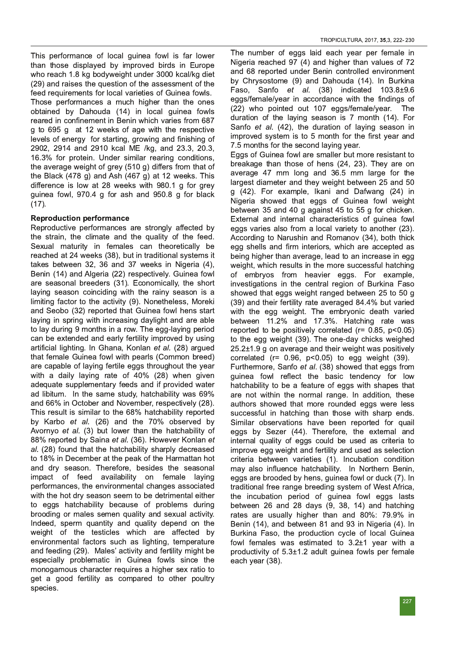This performance of local quinea fowl is far lower than those displayed by improved birds in Europe who reach 1.8 kg bodyweight under 3000 kcal/kg diet (29) and raises the question of the assessment of the feed requirements for local varieties of Guinea fowls. Those performances a much higher than the ones obtained by Dahouda (14) in local guinea fowls reared in confinement in Benin which varies from 687 g to 695 g at 12 weeks of age with the respective levels of energy for starting, growing and finishing of 2902, 2914 and 2910 kcal ME /kg, and 23.3, 20.3, 16.3% for protein. Under similar rearing conditions. the average weight of grey (510 g) differs from that of the Black  $(478 g)$  and Ash  $(467 g)$  at 12 weeks. This difference is low at 28 weeks with 980.1 g for grey guinea fowl, 970.4 g for ash and 950.8 g for black  $(17).$ 

## Reproduction performance

Reproductive performances are strongly affected by the strain, the climate and the quality of the feed. Sexual maturity in females can theoretically be reached at 24 weeks (38), but in traditional systems it takes between 32, 36 and 37 weeks in Nigeria  $(4)$ , Benin (14) and Algeria (22) respectively. Guinea fowl are seasonal breeders (31). Economically, the short laying season coinciding with the rainy season is a limiting factor to the activity (9). Nonetheless, Moreki and Seobo (32) reported that Guinea fowl hens start laying in spring with increasing daylight and are able to lay during 9 months in a row. The egg-laying period can be extended and early fertility improved by using artificial lighting. In Ghana, Konlan et al. (28) arqued that female Guinea fowl with pearls (Common breed) are capable of laying fertile eggs throughout the year with a daily laying rate of 40% (28) when given adequate supplementary feeds and if provided water ad libitum. In the same study, hatchability was 69% and 66% in October and November, respectively (28). This result is similar to the 68% hatchability reported by Karbo et al. (26) and the 70% observed by Avornyo et al. (3) but lower than the hatchability of 88% reported by Saina et al. (36). However Konlan et al. (28) found that the hatchability sharply decreased to 18% in December at the peak of the Harmattan hot and dry season. Therefore, besides the seasonal impact of feed availability on female laving performances, the environmental changes associated with the hot dry season seem to be detrimental either to eggs hatchability because of problems during brooding or males semen quality and sexual activity. Indeed, sperm quantity and quality depend on the weight of the testicles which are affected by environmental factors such as lighting, temperature and feeding (29). Males' activity and fertility might be especially problematic in Guinea fowls since the monogamous character requires a higher sex ratio to get a good fertility as compared to other poultry species.

The number of eggs laid each year per female in Nigeria reached 97 (4) and higher than values of 72 and 68 reported under Benin controlled environment by Chrysostome (9) and Dahouda (14). In Burkina Faso, Sanfo et al. (38) indicated 103.8±9.6 egas/female/vear in accordance with the findings of (22) who pointed out 107 eggs/female/year. The duration of the laying season is 7 month (14). For Sanfo et al. (42), the duration of laying season in improved system is to 5 month for the first year and 7.5 months for the second laying year. Eggs of Guinea fowl are smaller but more resistant to breakage than those of hens (24, 23). They are on average  $47$  mm long and  $36.5$  mm large for the largest diameter and they weight between 25 and 50 g (42). For example, Ikani and Dafwang (24) in Nigeria showed that eggs of Guinea fowl weight between 35 and 40 g against 45 to 55 g for chicken. External and internal characteristics of guinea fowl eggs varies also from a local variety to another  $(23)$ . According to Narushin and Romanov (34), both thick egg shells and firm interiors, which are accepted as being higher than average, lead to an increase in egg weight, which results in the more successful hatching of embryos from heavier eggs. For example, investigations in the central region of Burkina Faso showed that eggs weight ranged between 25 to 50 g (39) and their fertility rate averaged 84.4% but varied with the egg weight. The embryonic death varied between 11.2% and 17.3%. Hatching rate was reported to be positively correlated (r= 0.85,  $p<0.05$ ) to the egg weight (39). The one-day chicks weighed  $25.2\pm1.9$  g on average and their weight was positively correlated (r=  $0.96$ ,  $p<0.05$ ) to egg weight (39). Furthermore, Sanfo et al. (38) showed that eggs from guinea fowl reflect the basic tendency for low hatchability to be a feature of eggs with shapes that are not within the normal range. In addition, these authors showed that more rounded eggs were less successful in hatching than those with sharp ends. Similar observations have been reported for quail eggs by Sezer (44). Therefore, the external and internal quality of eggs could be used as criteria to improve egg weight and fertility and used as selection criteria between varieties (1). Incubation condition may also influence hatchability. In Northern Benin. eggs are brooded by hens, guinea fowl or duck (7). In traditional free range breeding system of West Africa, the incubation period of quinea fowl eggs lasts between  $26$  and  $28$  days  $(9, 38, 14)$  and hatching rates are usually higher than and 80%: 79.9% ir Benin (14), and between 81 and 93 in Nigeria (4). In Burkina Faso, the production cycle of local Guinea fowl females was estimated to  $3.2\pm1$  year with a productivity of  $5.3\pm1.2$  adult quinea fowls per female each year (38).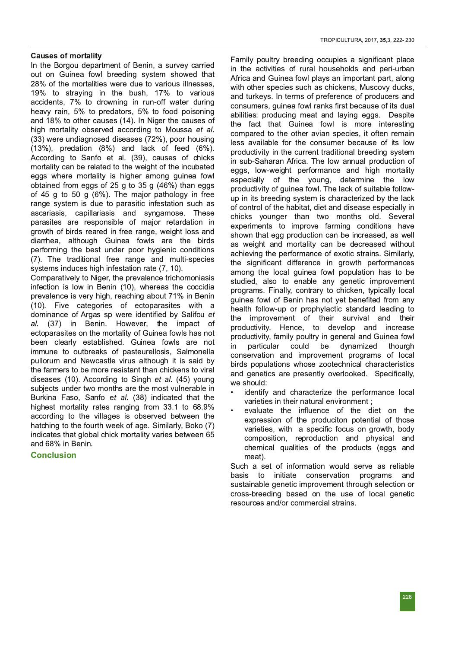#### Causes of mortality

In the Borgou department of Benin, a survey carried out on Guinea fowl breeding system showed that 28% of the mortalities were due to various illnesses, 19% to straying in the bush, 17% to various accidents, 7% to drowning in run-off water during heavy rain, 5% to predators, 5% to food poisoning and 18% to other causes (14). In Niger the causes of high mortality observed according to Moussa et al.  $(33)$  were undiagnosed diseases  $(72%)$ , poor housing  $(13\%)$ , predation  $(8\%)$  and lack of feed  $(6\%)$ . According to Sanfo et al. (39), causes of chicks mortality can be related to the weight of the incubated eggs where mortality is higher among guinea fowl obtained from eggs of 25 g to 35 g  $(46%)$  than eggs of 45 g to 50 g (6%). The major pathology in free range system is due to parasitic infestation such as ascariasis, capillariasis and syngamose. These parasites are responsible of major retardation in growth of birds reared in free range, weight loss and diarrhea, although Guinea fowls are the birds performing the best under poor hygienic conditions (7). The traditional free range and multi-species systems induces high infestation rate (7, 10).

Comparatively to Niger, the prevalence trichomoniasis infection is low in Benin (10), whereas the coccidia prevalence is very high, reaching about 71% in Benin (10). Five categories of ectoparasites with a dominance of Argas sp were identified by Salifou et al. (37) in Benin. However, the impact of ectoparasites on the mortality of Guinea fowls has not been clearly established. Guinea fowls are not immune to outbreaks of pasteurellosis, Salmonella pullorum and Newcastle virus although it is said by the farmers to be more resistant than chickens to viral diseases (10). According to Singh et al. (45) young subjects under two months are the most vulnerable in Burkina Faso, Sanfo et al. (38) indicated that the highest mortality rates ranging from 33.1 to 68.9% according to the villages is observed between the hatching to the fourth week of age. Similarly, Boko (7) indicates that global chick mortality varies between 65 and 68% in Benin.

**Conclusion** 

Family poultry breeding occupies a significant place in the activities of rural households and peri-urban Africa and Guinea fowl plays an important part, along with other species such as chickens, Muscovy ducks, and turkeys. In terms of preference of producers and consumers, quinea fowl ranks first because of its dual abilities: producing meat and laying eggs. Despite the fact that Guinea fowl is more interesting compared to the other avian species, it often remain less available for the consumer because of its low productivity in the current traditional breeding system in sub-Saharan Africa. The low annual production of eggs, low-weight performance and high mortality especially of the young, determine the low productivity of guinea fowl. The lack of suitable followup in its breeding system is characterized by the lack of control of the habitat, diet and disease especially in chicks younger than two months old. Several experiments to improve farming conditions have shown that egg production can be increased, as well as weight and mortality can be decreased without achieving the performance of exotic strains. Similarly, the significant difference in growth performances among the local guinea fowl population has to be studied, also to enable any genetic improvement programs. Finally, contrary to chicken, typically local quinea fowl of Benin has not yet benefited from any health follow-up or prophylactic standard leading to the improvement of their survival and their productivity. Hence, to develop and increase productivity, family poultry in general and Guinea fowl in particular could be dynamized thourgh conservation and improvement programs of local birds populations whose zootechnical characteristics and genetics are presently overlooked. Specifically, we should:

- identify and characterize the performance local varieties in their natural environment ;
- evaluate the influence of the diet on the expression of the produciton potential of those varieties, with a specific focus on growth, body composition, reproduction and physical and chemical qualities of the products (eggs and meat).

Such a set of information would serve as reliable basis to initiate conservation programs and sustainable genetic improvement through selection or cross-breeding based on the use of local genetic resources and/or commercial strains.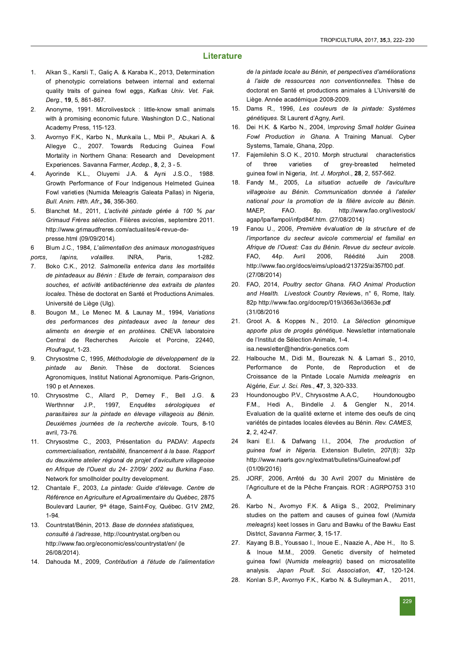#### **Literature**

- Alkan S., Karsli T., Galiç A. & Karaba K., 2013, Determination  $1.$ of phenotypic correlations between internal and external quality traits of quinea fowl eggs, Kafkas Univ. Vet. Fak. Derg., 19, 5, 861-867.
- $2.$ Anonyme, 1991. Microlivestock : little-know small animals with à promising economic future. Washington D.C., National Academy Press, 115-123.
- Avornyo F.K., Karbo N., Munkaila L., Mbii P., Abukari A. & 3. Allegye C., 2007. Towards Reducing Guinea Fowl Mortality in Northern Ghana: Research and Development Experiences. Savanna Farmer, Acdep., 8, 2, 3 - 5.
- Ayorinde K.L., Oluyemi J.A. & Ayni J.S.O., 1988.  $\overline{4}$ . Growth Performance of Four Indigenous Helmeted Guinea Fowl varieties (Numida Meleagris Galeata Pallas) in Nigeria. Bull. Anim. Hlth. Afr., 36, 356-360.
- 5. Blanchet M., 2011, L'activité pintade gérée à 100 % par Grimaud Frères sélection. Filières avicoles, septembre 2011. http://www.grimaudfreres.com/actualites/4-revue-depresse.html (09/09/2014).
- 6 Blum J.C., 1984, L'alimentation des animaux monogastriques porcs, lapins, volailles. INRA, Paris.  $1-282$
- Boko C.K., 2012. Salmonella enterica dans les mortalités 7. de pintadeaux au Bénin : Etude de terrain, comparaison des souches, et activité antibactérienne des extraits de plantes locales. Thèse de doctorat en Santé et Productions Animales. Université de Liège (Ulg).
- Bougon M., Le Menec M. & Launay M., 1994, Variations 8. des performances des pintadeaux avec la teneur des aliments en énergie et en protéines. CNEVA laboratoire Central de Recherches Avicole et Porcine, 22440, Ploufragut, 1-23.
- Chrysostme C, 1995, Méthodologie de développement de la 9. pintade au Benin. Thèse de doctorat. Sciences Agronomiques, Institut National Agronomique. Paris-Grignon, 190 p et Annexes.
- Chrysostme C., Allard P., Demey F., Bell J.G. &  $10.$ J.P., 1997, Enquêtes sérologiques Werthnner et parasitaires sur la pintade en élevage villageois au Bénin. Deuxièmes journées de la recherche avicole. Tours, 8-10 avril, 73-76.
- Chrysostme C., 2003, Présentation du PADAV: Aspects  $11.$ commercialisation, rentabilité, financement à la base. Rapport du deuxième atelier régional de projet d'aviculture villageoise en Afrique de l'Ouest du 24- 27/09/ 2002 au Burkina Faso. Network for smollholder poultry development.
- Chantale F., 2003, La pintade: Guide d'élevage. Centre de  $12.$ Référence en Agriculture et Agroalimentaire du Québec, 2875 Boulevard Laurier, 9<sup>iè</sup> étage, Saint-Foy, Québec. G1V 2M2,  $1-94.$
- $13.$ Countrstat/Bénin, 2013. Base de données statistiques, consulté à l'adresse, http://countrystat.org/ben ou http://www.fao.org/economic/ess/countrystat/en/ (le 26/08/2014)
- $14.$ Dahouda M., 2009. Contribution à l'étude de l'alimentation

de la pintade locale au Bénin, et perspectives d'améliorations à l'aide de ressources non conventionnelles. Thèse de doctorat en Santé et productions animales à L'Université de Liège. Année académique 2008-2009.

- 15. Dams R., 1996, Les couleurs de la pintade: Systèmes génétiques. St Laurent d'Agny, Avril.
- 16. Dei H.K. & Karbo N., 2004, Improving Small holder Guinea Fowl Production in Ghana. A Training Manual. Cyber Systems, Tamale, Ghana, 20pp.
- $17.$ Fajemilehin S.O K., 2010. Morph structural characteristics of three varieties  $\circ f$ grey-breasted helmeted guinea fowl in Nigeria, Int. J. Morphol., 28, 2, 557-562.
- Fandy M., 2005, La situation actuelle de l'aviculture 18. villageoise au Bénin. Communication donnée à l'atelier national pour la promotion de la filière avicole au Bénin. FAO. http://www.fao.org/livestock/ MAFP.  $8p.$ agap/lpa/fampol/infpd84f.htm. (27/08/2014)
- Fanou U., 2006, Première évaluation de la structure et de 19 l'importance du secteur avicole commercial et familial en Afrique de l'Ouest: Cas du Bénin. Revue du secteur avicole. 44p. Avril 2006, Réédité 2008. FAO. Juin http://www.fao.org/docs/eims/upload/213725/ai357f00.pdf.  $(27/08/2014)$
- FAO, 2014, Poultry sector Ghana. FAO Animal Production  $20<sub>1</sub>$ and Health. Livestock Country Reviews, n° 6, Rome, Italy. 82p http://www.fao.org/docrep/019/i3663e/i3663e.pdf  $(31/08/2016)$
- $21.$ Groot A. & Koppes N., 2010. La Sélection génomique apporte plus de progès génétique. Newsletter internationale de l'Institut de Sélection Animale, 1-4. isa.newsletter@hendrix-genetics.com
- $22.$ Halbouche M., Didi M., Bourezak N. & Lamari S., 2010, de Ponte, de Reproduction de Performance et Croissance de la Pintade Locale Numida meleagris  $en$ Algérie, Eur. J. Sci. Res., 47, 3, 320-333.
- Houndonougbo P.V., Chrysostme A.A.C, 23 Houndonougbo F.M., Hedi A., Bindelle J. & Gengler N., 2014. Evaluation de la qualité externe et interne des oeufs de cinq variétés de pintades locales élevées au Bénin. Rev. CAMES, 2, 2, 42-47.
- 24 Ikani E.I. & Dafwang I.I., 2004, The production of guinea fowl in Nigeria. Extension Bulletin, 207(8): 32p http://www.naerls.gov.ng/extmat/bulletins/Guineafowl.pdf  $(01/09/2016)$
- 25. JORF, 2006, Arrêté du 30 Avril 2007 du Ministère de l'Agriculture et de la Pêche Français. ROR : AGRPO753 310 Α.
- Karbo N., Avornyo F.K. & Atiiga S., 2002, Preliminary 26. studies on the pattern and causes of guinea fowl (Numida meleagris) keet losses in Garu and Bawku of the Bawku East District, Savanna Farmer, 3, 15-17.
- Kayang B.B., Youssao I., Inoue E., Naazie A., Abe H., Ito S.  $27.$ & Inoue M.M., 2009. Genetic diversity of helmeted guinea fowl (Numida meleagris) based on microsatellite analysis. Japan Poult. Sci. Association, 47, 120-124.
- 28 Konlan S.P., Avornyo F.K., Karbo N. & Sulleyman A., 2011.